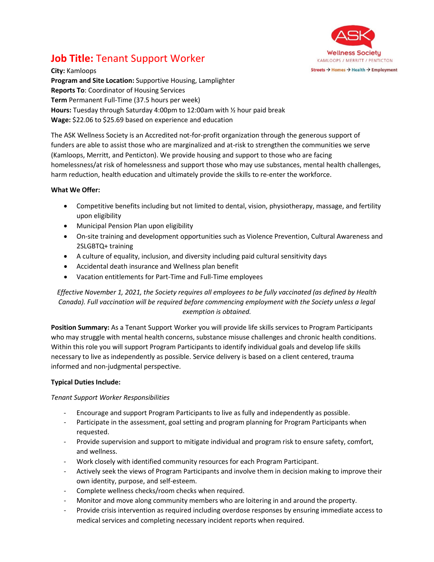

# **Job Title:** Tenant Support Worker

**City:** Kamloops **Program and Site Location:** Supportive Housing, Lamplighter **Reports To**: Coordinator of Housing Services **Term** Permanent Full-Time (37.5 hours per week) **Hours:** Tuesday through Saturday 4:00pm to 12:00am with ½ hour paid break **Wage:** \$22.06 to \$25.69 based on experience and education

The ASK Wellness Society is an Accredited not-for-profit organization through the generous support of funders are able to assist those who are marginalized and at-risk to strengthen the communities we serve (Kamloops, Merritt, and Penticton). We provide housing and support to those who are facing homelessness/at risk of homelessness and support those who may use substances, mental health challenges, harm reduction, health education and ultimately provide the skills to re-enter the workforce.

## **What We Offer:**

- Competitive benefits including but not limited to dental, vision, physiotherapy, massage, and fertility upon eligibility
- Municipal Pension Plan upon eligibility
- On-site training and development opportunities such as Violence Prevention, Cultural Awareness and 2SLGBTQ+ training
- A culture of equality, inclusion, and diversity including paid cultural sensitivity days
- Accidental death insurance and Wellness plan benefit
- Vacation entitlements for Part-Time and Full-Time employees

# *Effective November 1, 2021, the Society requires all employees to be fully vaccinated (as defined by Health Canada). Full vaccination will be required before commencing employment with the Society unless a legal exemption is obtained.*

**Position Summary:** As a Tenant Support Worker you will provide life skills services to Program Participants who may struggle with mental health concerns, substance misuse challenges and chronic health conditions. Within this role you will support Program Participants to identify individual goals and develop life skills necessary to live as independently as possible. Service delivery is based on a client centered, trauma informed and non-judgmental perspective.

# **Typical Duties Include:**

### *Tenant Support Worker Responsibilities*

- Encourage and support Program Participants to live as fully and independently as possible.
- Participate in the assessment, goal setting and program planning for Program Participants when requested.
- Provide supervision and support to mitigate individual and program risk to ensure safety, comfort, and wellness.
- Work closely with identified community resources for each Program Participant.
- Actively seek the views of Program Participants and involve them in decision making to improve their own identity, purpose, and self-esteem.
- Complete wellness checks/room checks when required.
- Monitor and move along community members who are loitering in and around the property.
- Provide crisis intervention as required including overdose responses by ensuring immediate access to medical services and completing necessary incident reports when required.